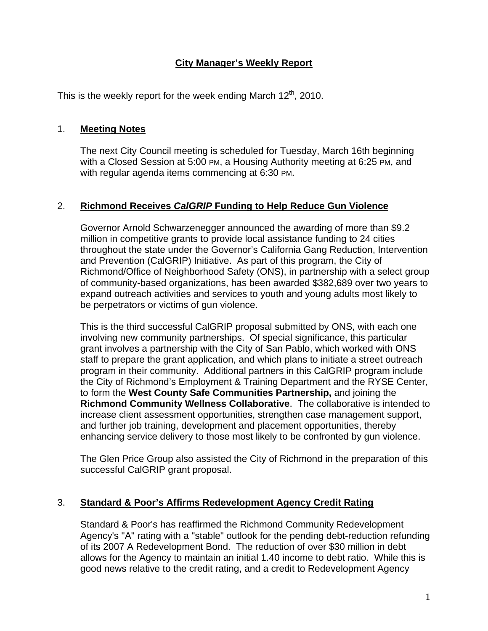## **City Manager's Weekly Report**

This is the weekly report for the week ending March  $12<sup>th</sup>$ , 2010.

### 1. **Meeting Notes**

The next City Council meeting is scheduled for Tuesday, March 16th beginning with a Closed Session at 5:00 PM, a Housing Authority meeting at 6:25 PM, and with regular agenda items commencing at 6:30 PM.

## 2. **Richmond Receives** *CalGRIP* **Funding to Help Reduce Gun Violence**

Governor Arnold Schwarzenegger announced the awarding of more than \$9.2 million in competitive grants to provide local assistance funding to 24 cities throughout the state under the Governor's California Gang Reduction, Intervention and Prevention (CalGRIP) Initiative. As part of this program, the City of Richmond/Office of Neighborhood Safety (ONS), in partnership with a select group of community-based organizations, has been awarded \$382,689 over two years to expand outreach activities and services to youth and young adults most likely to be perpetrators or victims of gun violence.

This is the third successful CalGRIP proposal submitted by ONS, with each one involving new community partnerships. Of special significance, this particular grant involves a partnership with the City of San Pablo, which worked with ONS staff to prepare the grant application, and which plans to initiate a street outreach program in their community. Additional partners in this CalGRIP program include the City of Richmond's Employment & Training Department and the RYSE Center, to form the **West County Safe Communities Partnership,** and joining the **Richmond Community Wellness Collaborative**. The collaborative is intended to increase client assessment opportunities, strengthen case management support, and further job training, development and placement opportunities, thereby enhancing service delivery to those most likely to be confronted by gun violence.

The Glen Price Group also assisted the City of Richmond in the preparation of this successful CalGRIP grant proposal.

## 3. **Standard & Poor's Affirms Redevelopment Agency Credit Rating**

Standard & Poor's has reaffirmed the Richmond Community Redevelopment Agency's "A" rating with a "stable" outlook for the pending debt-reduction refunding of its 2007 A Redevelopment Bond. The reduction of over \$30 million in debt allows for the Agency to maintain an initial 1.40 income to debt ratio. While this is good news relative to the credit rating, and a credit to Redevelopment Agency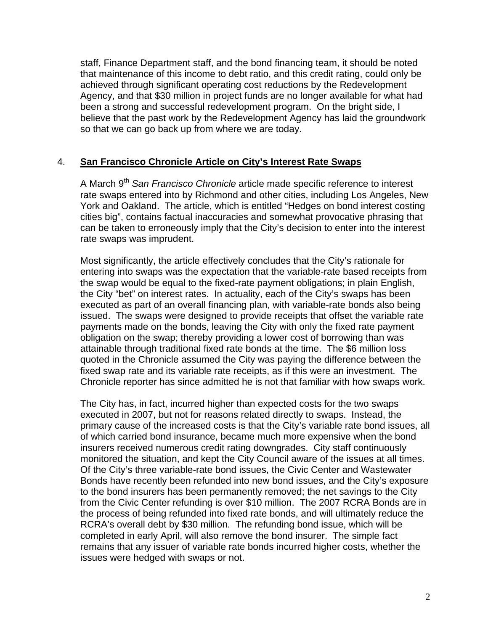staff, Finance Department staff, and the bond financing team, it should be noted that maintenance of this income to debt ratio, and this credit rating, could only be achieved through significant operating cost reductions by the Redevelopment Agency, and that \$30 million in project funds are no longer available for what had been a strong and successful redevelopment program. On the bright side, I believe that the past work by the Redevelopment Agency has laid the groundwork so that we can go back up from where we are today.

#### 4. **San Francisco Chronicle Article on City's Interest Rate Swaps**

A March 9th *San Francisco Chronicle* article made specific reference to interest rate swaps entered into by Richmond and other cities, including Los Angeles, New York and Oakland. The article, which is entitled "Hedges on bond interest costing cities big", contains factual inaccuracies and somewhat provocative phrasing that can be taken to erroneously imply that the City's decision to enter into the interest rate swaps was imprudent.

Most significantly, the article effectively concludes that the City's rationale for entering into swaps was the expectation that the variable-rate based receipts from the swap would be equal to the fixed-rate payment obligations; in plain English, the City "bet" on interest rates. In actuality, each of the City's swaps has been executed as part of an overall financing plan, with variable-rate bonds also being issued. The swaps were designed to provide receipts that offset the variable rate payments made on the bonds, leaving the City with only the fixed rate payment obligation on the swap; thereby providing a lower cost of borrowing than was attainable through traditional fixed rate bonds at the time. The \$6 million loss quoted in the Chronicle assumed the City was paying the difference between the fixed swap rate and its variable rate receipts, as if this were an investment. The Chronicle reporter has since admitted he is not that familiar with how swaps work.

The City has, in fact, incurred higher than expected costs for the two swaps executed in 2007, but not for reasons related directly to swaps. Instead, the primary cause of the increased costs is that the City's variable rate bond issues, all of which carried bond insurance, became much more expensive when the bond insurers received numerous credit rating downgrades. City staff continuously monitored the situation, and kept the City Council aware of the issues at all times. Of the City's three variable-rate bond issues, the Civic Center and Wastewater Bonds have recently been refunded into new bond issues, and the City's exposure to the bond insurers has been permanently removed; the net savings to the City from the Civic Center refunding is over \$10 million. The 2007 RCRA Bonds are in the process of being refunded into fixed rate bonds, and will ultimately reduce the RCRA's overall debt by \$30 million. The refunding bond issue, which will be completed in early April, will also remove the bond insurer. The simple fact remains that any issuer of variable rate bonds incurred higher costs, whether the issues were hedged with swaps or not.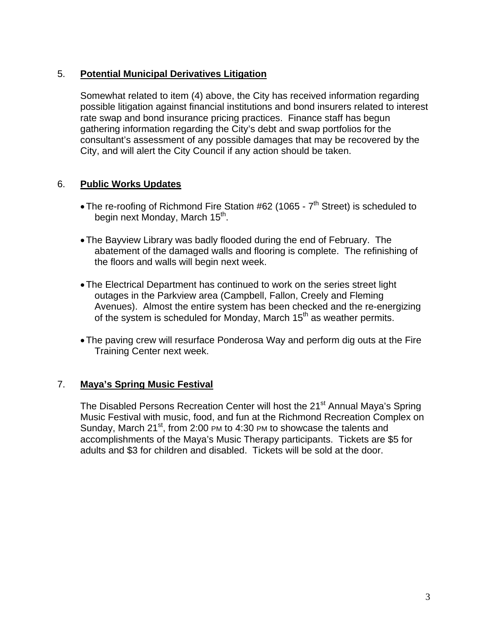## 5. **Potential Municipal Derivatives Litigation**

Somewhat related to item (4) above, the City has received information regarding possible litigation against financial institutions and bond insurers related to interest rate swap and bond insurance pricing practices. Finance staff has begun gathering information regarding the City's debt and swap portfolios for the consultant's assessment of any possible damages that may be recovered by the City, and will alert the City Council if any action should be taken.

# 6. **Public Works Updates**

- The re-roofing of Richmond Fire Station #62 (1065  $7<sup>th</sup>$  Street) is scheduled to begin next Monday, March 15<sup>th</sup>.
- The Bayview Library was badly flooded during the end of February. The abatement of the damaged walls and flooring is complete. The refinishing of the floors and walls will begin next week.
- The Electrical Department has continued to work on the series street light outages in the Parkview area (Campbell, Fallon, Creely and Fleming Avenues). Almost the entire system has been checked and the re-energizing of the system is scheduled for Monday, March  $15<sup>th</sup>$  as weather permits.
- The paving crew will resurface Ponderosa Way and perform dig outs at the Fire Training Center next week.

## 7. **Maya's Spring Music Festival**

The Disabled Persons Recreation Center will host the 21<sup>st</sup> Annual Maya's Spring Music Festival with music, food, and fun at the Richmond Recreation Complex on Sunday, March 21<sup>st</sup>, from 2:00 PM to 4:30 PM to showcase the talents and accomplishments of the Maya's Music Therapy participants. Tickets are \$5 for adults and \$3 for children and disabled. Tickets will be sold at the door.